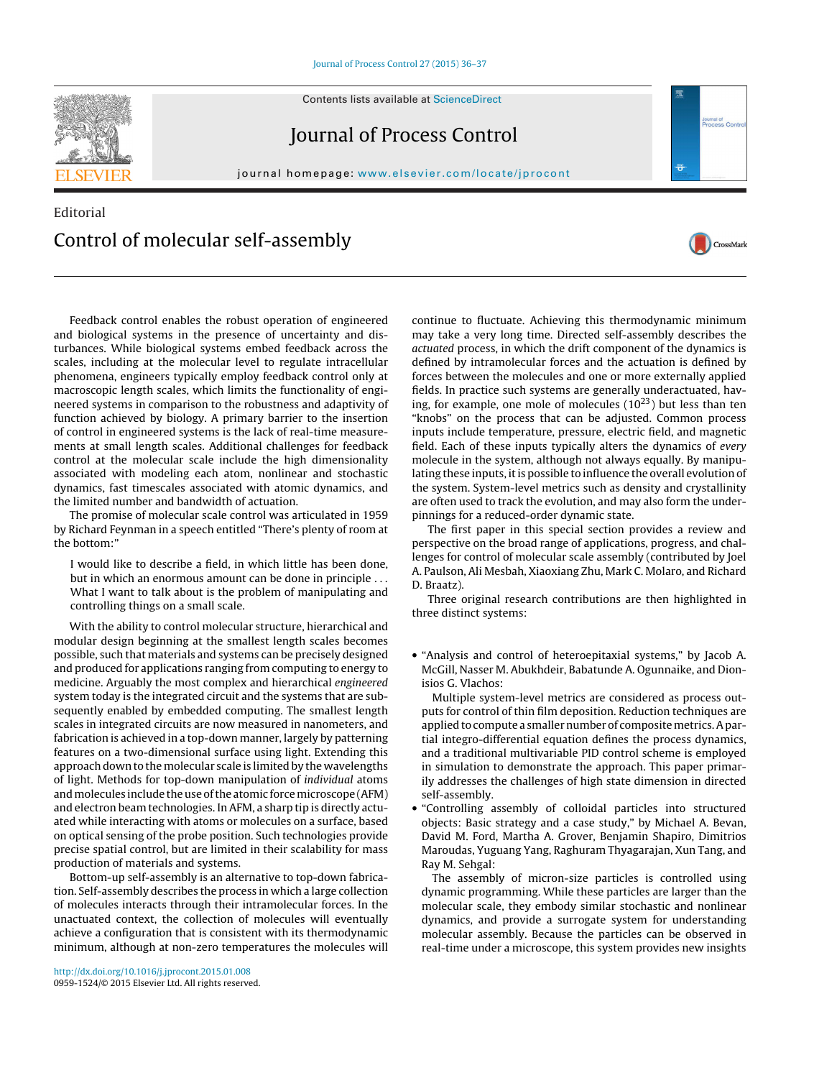Contents lists available at [ScienceDirect](http://www.sciencedirect.com/science/journal/09591524)





journal homepage: [www.elsevier.com/locate/jprocont](http://www.elsevier.com/locate/jprocont)

## Editorial Control of molecular self-assembly



The promise of molecular scale control was articulated in 1959 by Richard Feynman in a speech entitled "There's plenty of room at the bottom:"

I would like to describe a field, in which little has been done, but in which an enormous amount can be done in principle . . . What I want to talk about is the problem of manipulating and controlling things on a small scale.

With the ability to control molecular structure, hierarchical and modular design beginning at the smallest length scales becomes possible, such that materials and systems can be precisely designed and produced for applications ranging from computing to energy to medicine. Arguably the most complex and hierarchical engineered system today is the integrated circuit and the systems that are subsequently enabled by embedded computing. The smallest length scales in integrated circuits are now measured in nanometers, and fabrication is achieved in a top-down manner, largely by patterning features on a two-dimensional surface using light. Extending this approach down to the molecular scale is limited by the wavelengths of light. Methods for top-down manipulation of individual atoms and molecules include the use of the atomic force microscope (AFM) and electron beam technologies. In AFM, a sharp tip is directly actuated while interacting with atoms or molecules on a surface, based on optical sensing of the probe position. Such technologies provide precise spatial control, but are limited in their scalability for mass production of materials and systems.

Bottom-up self-assembly is an alternative to top-down fabrication. Self-assembly describes the process in which a large collection of molecules interacts through their intramolecular forces. In the unactuated context, the collection of molecules will eventually achieve a configuration that is consistent with its thermodynamic minimum, although at non-zero temperatures the molecules will continue to fluctuate. Achieving this thermodynamic minimum may take a very long time. Directed self-assembly describes the actuated process, in which the drift component of the dynamics is defined by intramolecular forces and the actuation is defined by forces between the molecules and one or more externally applied fields. In practice such systems are generally underactuated, having, for example, one mole of molecules  $(10^{23})$  but less than ten "knobs" on the process that can be adjusted. Common process inputs include temperature, pressure, electric field, and magnetic field. Each of these inputs typically alters the dynamics of every molecule in the system, although not always equally. By manipulating these inputs, it is possible to influence the overall evolution of the system. System-level metrics such as density and crystallinity are often used to track the evolution, and may also form the underpinnings for a reduced-order dynamic state.

umal of<br>'OCess Co

CrossMark

The first paper in this special section provides a review and perspective on the broad range of applications, progress, and challenges for control of molecular scale assembly (contributed by Joel A. Paulson, Ali Mesbah, Xiaoxiang Zhu, Mark C. Molaro, and Richard D. Braatz).

Three original research contributions are then highlighted in three distinct systems:

• "Analysis and control of heteroepitaxial systems," by Jacob A. McGill, Nasser M. Abukhdeir, Babatunde A. Ogunnaike, and Dionisios G. Vlachos:

Multiple system-level metrics are considered as process outputs for control of thin film deposition. Reduction techniques are applied to compute a smaller number of composite metrics. A partial integro-differential equation defines the process dynamics, and a traditional multivariable PID control scheme is employed in simulation to demonstrate the approach. This paper primarily addresses the challenges of high state dimension in directed self-assembly.

• "Controlling assembly of colloidal particles into structured objects: Basic strategy and a case study," by Michael A. Bevan, David M. Ford, Martha A. Grover, Benjamin Shapiro, Dimitrios Maroudas, Yuguang Yang, Raghuram Thyagarajan, Xun Tang, and Ray M. Sehgal:

The assembly of micron-size particles is controlled using dynamic programming. While these particles are larger than the molecular scale, they embody similar stochastic and nonlinear dynamics, and provide a surrogate system for understanding molecular assembly. Because the particles can be observed in real-time under a microscope, this system provides new insights